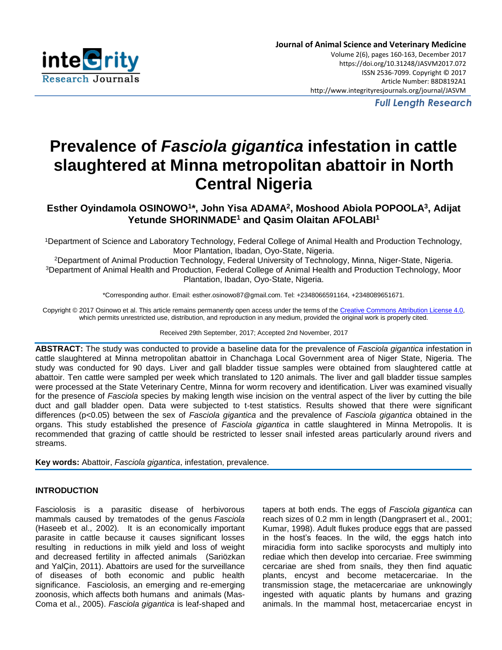

*Full Length Research*

# **Prevalence of** *Fasciola gigantica* **infestation in cattle slaughtered at Minna metropolitan abattoir in North Central Nigeria**

**Esther Oyindamola OSINOWO<sup>1</sup> \*, John Yisa ADAMA<sup>2</sup> , Moshood Abiola POPOOLA<sup>3</sup> , Adijat Yetunde SHORINMADE<sup>1</sup> and Qasim Olaitan AFOLABI<sup>1</sup>**

<sup>1</sup>Department of Science and Laboratory Technology, Federal College of Animal Health and Production Technology, Moor Plantation, Ibadan, Oyo-State, Nigeria.

<sup>2</sup>Department of Animal Production Technology, Federal University of Technology, Minna, Niger-State, Nigeria. <sup>3</sup>Department of Animal Health and Production, Federal College of Animal Health and Production Technology, Moor Plantation, Ibadan, Oyo-State, Nigeria.

\*Corresponding author. Email: esther.osinowo87@gmail.com. Tel: +2348066591164, +2348089651671.

Copyright © 2017 Osinowo et al. This article remains permanently open access under the terms of the [Creative Commons Attribution License 4.0,](http://creativecommons.org/licenses/by/4.0/) which permits unrestricted use, distribution, and reproduction in any medium, provided the original work is properly cited.

Received 29th September, 2017; Accepted 2nd November, 2017

**ABSTRACT:** The study was conducted to provide a baseline data for the prevalence of *Fasciola gigantica* infestation in cattle slaughtered at Minna metropolitan abattoir in Chanchaga Local Government area of Niger State, Nigeria. The study was conducted for 90 days. Liver and gall bladder tissue samples were obtained from slaughtered cattle at abattoir. Ten cattle were sampled per week which translated to 120 animals. The liver and gall bladder tissue samples were processed at the State Veterinary Centre, Minna for worm recovery and identification. Liver was examined visually for the presence of *Fasciola* species by making length wise incision on the ventral aspect of the liver by cutting the bile duct and gall bladder open. Data were subjected to t-test statistics. Results showed that there were significant differences (p<0.05) between the sex of *Fasciola gigantica* and the prevalence of *Fasciola gigantica* obtained in the organs. This study established the presence of *Fasciola gigantica* in cattle slaughtered in Minna Metropolis. It is recommended that grazing of cattle should be restricted to lesser snail infested areas particularly around rivers and streams.

**Key words:** Abattoir, *Fasciola gigantica*, infestation, prevalence.

# **INTRODUCTION**

Fasciolosis is a parasitic disease of herbivorous mammals caused by trematodes of the genus *Fasciola*  (Haseeb et al., 2002)*.* It is an economically important parasite in cattle because it causes significant losses resulting in reductions in milk yield and loss of weight and decreased fertility in affected animals (Sariözkan and YalÇin, 2011). Abattoirs are used for the surveillance of diseases of both economic and public health significance. Fasciolosis, an emerging and re-emerging zoonosis, which affects both humans and animals (Mas-Coma et al., 2005). *Fasciola gigantica* is leaf-shaped and tapers at both ends. The eggs of *Fasciola gigantica* can reach sizes of 0.2 mm in length (Dangprasert et al., 2001; Kumar, 1998). Adult flukes produce eggs that are passed in the host's feaces. In the wild, the eggs hatch into miracidia form into saclike sporocysts and multiply into rediae which then develop into cercariae. Free swimming cercariae are shed from snails, they then find aquatic plants, encyst and become metacercariae. In the transmission stage, the metacercariae are unknowingly ingested with aquatic plants by humans and grazing animals. In the mammal host, metacercariae encyst in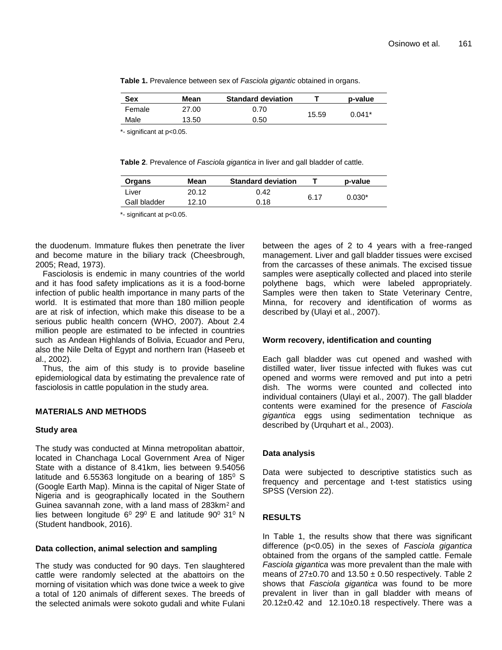|  | Table 1. Prevalence between sex of Fasciola gigantic obtained in organs. |
|--|--------------------------------------------------------------------------|
|--|--------------------------------------------------------------------------|

| <b>Sex</b> | Mean  | <b>Standard deviation</b> |       | p-value  |
|------------|-------|---------------------------|-------|----------|
| Female     | 27.00 | 0.70                      | 15.59 | $0.041*$ |
| Male       | 13.50 | 0.50                      |       |          |

\*- significant at p<0.05.

**Table 2**. Prevalence of *Fasciola gigantica* in liver and gall bladder of cattle.

| Organs       | Mean  | <b>Standard deviation</b> |      | p-value  |
|--------------|-------|---------------------------|------|----------|
| Liver        | 20.12 | 0.42                      | 6.17 | $0.030*$ |
| Gall bladder | 12.10 | 0.18                      |      |          |
|              |       |                           |      |          |

\*- significant at p<0.05.

the duodenum. Immature flukes then penetrate the liver and become mature in the biliary track (Cheesbrough, 2005; Read, 1973).

Fasciolosis is endemic in many countries of the world and it has food safety implications as it is a food-borne infection of public health importance in many parts of the world. It is estimated that more than 180 million people are at risk of infection, which make this disease to be a serious public health concern (WHO, 2007). About 2.4 million people are estimated to be infected in countries such as Andean Highlands of Bolivia, Ecuador and Peru, also the Nile Delta of Egypt and northern Iran (Haseeb et al., 2002).

Thus, the aim of this study is to provide baseline epidemiological data by estimating the prevalence rate of fasciolosis in cattle population in the study area.

# **MATERIALS AND METHODS**

# **Study area**

The study was conducted at Minna metropolitan abattoir, located in Chanchaga Local Government Area of Niger State with a distance of 8.41km, lies between 9.54056 latitude and  $6.55363$  longitude on a bearing of  $185^\circ$  S (Google Earth Map). Minna is the capital of Niger State of Nigeria and is geographically located in the Southern Guinea savannah zone, with a land mass of 283km<sup>2</sup> and lies between longitude  $6^{\circ}$  29 $^{\circ}$  E and latitude 90 $^{\circ}$  31 $^{\circ}$  N (Student handbook, 2016).

# **Data collection, animal selection and sampling**

The study was conducted for 90 days. Ten slaughtered cattle were randomly selected at the abattoirs on the morning of visitation which was done twice a week to give a total of 120 animals of different sexes. The breeds of the selected animals were sokoto gudali and white Fulani between the ages of 2 to 4 years with a free-ranged management. Liver and gall bladder tissues were excised from the carcasses of these animals. The excised tissue samples were aseptically collected and placed into sterile polythene bags, which were labeled appropriately. Samples were then taken to State Veterinary Centre, Minna, for recovery and identification of worms as described by (Ulayi et al., 2007).

# **Worm recovery, identification and counting**

Each gall bladder was cut opened and washed with distilled water, liver tissue infected with flukes was cut opened and worms were removed and put into a petri dish. The worms were counted and collected into individual containers (Ulayi et al., 2007). The gall bladder contents were examined for the presence of *Fasciola gigantica* eggs using sedimentation technique as described by (Urquhart et al., 2003).

# **Data analysis**

Data were subjected to descriptive statistics such as frequency and percentage and t-test statistics using SPSS (Version 22).

# **RESULTS**

In Table 1, the results show that there was significant difference (p<0.05) in the sexes of *Fasciola gigantica*  obtained from the organs of the sampled cattle. Female *Fasciola gigantica* was more prevalent than the male with means of  $27\pm0.70$  and  $13.50\pm0.50$  respectively. Table 2 shows that *Fasciola gigantica* was found to be more prevalent in liver than in gall bladder with means of  $20.12\pm0.42$  and  $12.10\pm0.18$  respectively. There was a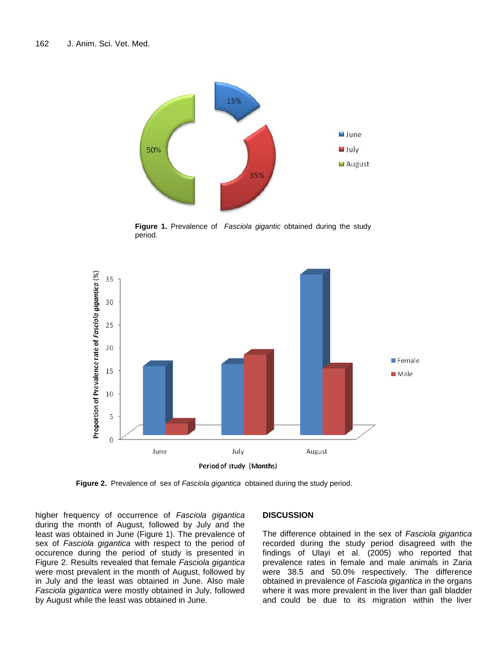

**Figure 1.** Prevalence of *Fasciola gigantic* obtained during the study **Figure** period.



**Figure 2.** Prevalence of sex of *Fasciola gigantica* obtained during the study period.

higher frequency of occurrence of *Fasciola gigantica*  during the month of August, followed by July and the least was obtained in June (Figure 1). The prevalence of sex of *Fasciola gigantica* with respect to the period of occurence during the period of study is presented in Figure 2. Results revealed that female *Fasciola gigantica*  were most prevalent in the month of August, followed by in July and the least was obtained in June. Also male *Fasciola gigantica* were mostly obtained in July, followed by August while the least was obtained in June.

# **DISCUSSION**

The difference obtained in the sex of *Fasciola gigantica*  recorded during the study period disagreed with the findings of Ulayi et al. (2005) who reported that prevalence rates in female and male animals in Zaria were 38.5 and 50.0% respectively. The difference obtained in prevalence of *Fasciola gigantica* in the organs where it was more prevalent in the liver than gall bladder and could be due to its migration within the liver